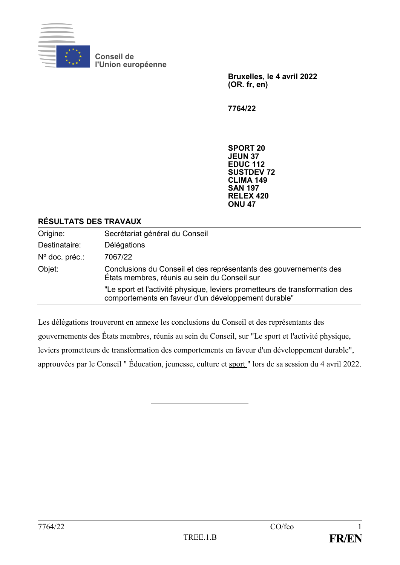

**Conseil de l'Union européenne**

> **Bruxelles, le 4 avril 2022 (OR. fr, en)**

**7764/22**

**SPORT 20 JEUN 37 EDUC 112 SUSTDEV 72 CLIMA 149 SAN 197 RELEX 420 ONU 47**

#### **RÉSULTATS DES TRAVAUX**

| Origine:         | Secrétariat général du Conseil                                                                                                     |
|------------------|------------------------------------------------------------------------------------------------------------------------------------|
| Destinataire:    | Délégations                                                                                                                        |
| $No$ doc. préc.: | 7067/22                                                                                                                            |
| Objet:           | Conclusions du Conseil et des représentants des gouvernements des<br>États membres, réunis au sein du Conseil sur                  |
|                  | "Le sport et l'activité physique, leviers prometteurs de transformation des<br>comportements en faveur d'un développement durable" |

Les délégations trouveront en annexe les conclusions du Conseil et des représentants des gouvernements des États membres, réunis au sein du Conseil, sur "Le sport et l'activité physique, leviers prometteurs de transformation des comportements en faveur d'un développement durable", approuvées par le Conseil " Éducation, jeunesse, culture et sport " lors de sa session du 4 avril 2022.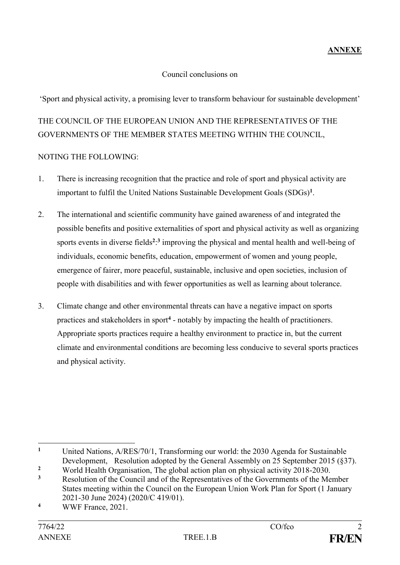#### Council conclusions on

'Sport and physical activity, a promising lever to transform behaviour for sustainable development'

# THE COUNCIL OF THE EUROPEAN UNION AND THE REPRESENTATIVES OF THE GOVERNMENTS OF THE MEMBER STATES MEETING WITHIN THE COUNCIL,

#### NOTING THE FOLLOWING:

- 1. There is increasing recognition that the practice and role of sport and physical activity are important to fulfil the United Nations Sustainable Development Goals (SDGs)**<sup>1</sup>** .
- 2. The international and scientific community have gained awareness of and integrated the possible benefits and positive externalities of sport and physical activity as well as organizing sports events in diverse fields<sup>2</sup><sup>2</sup> improving the physical and mental health and well-being of individuals, economic benefits, education, empowerment of women and young people, emergence of fairer, more peaceful, sustainable, inclusive and open societies, inclusion of people with disabilities and with fewer opportunities as well as learning about tolerance.
- 3. Climate change and other environmental threats can have a negative impact on sports practices and stakeholders in sport**<sup>4</sup>** - notably by impacting the health of practitioners. Appropriate sports practices require a healthy environment to practice in, but the current climate and environmental conditions are becoming less conducive to several sports practices and physical activity.

<sup>&</sup>lt;u>.</u> **<sup>1</sup>** United Nations, A/RES/70/1, Transforming our world: the 2030 Agenda for Sustainable Development, Resolution adopted by the General Assembly on 25 September 2015 (§37).

<sup>&</sup>lt;sup>2</sup> World Health Organisation, The global action plan on physical activity 2018-2030.

**<sup>3</sup>** Resolution of the Council and of the Representatives of the Governments of the Member States meeting within the Council on the European Union Work Plan for Sport (1 January 2021-30 June 2024) (2020/C 419/01).

**<sup>4</sup>** WWF France, 2021.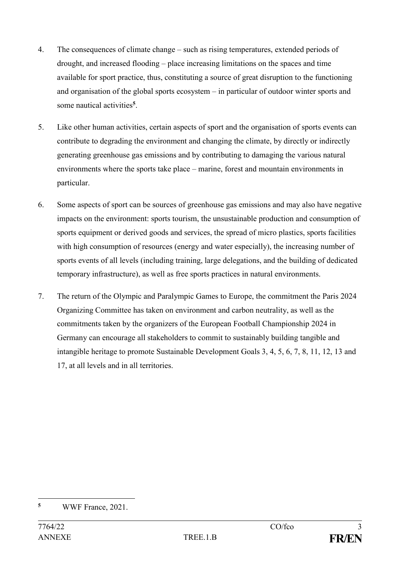- 4. The consequences of climate change such as rising temperatures, extended periods of drought, and increased flooding – place increasing limitations on the spaces and time available for sport practice, thus, constituting a source of great disruption to the functioning and organisation of the global sports ecosystem – in particular of outdoor winter sports and some nautical activities**<sup>5</sup>** .
- 5. Like other human activities, certain aspects of sport and the organisation of sports events can contribute to degrading the environment and changing the climate, by directly or indirectly generating greenhouse gas emissions and by contributing to damaging the various natural environments where the sports take place – marine, forest and mountain environments in particular.
- 6. Some aspects of sport can be sources of greenhouse gas emissions and may also have negative impacts on the environment: sports tourism, the unsustainable production and consumption of sports equipment or derived goods and services, the spread of micro plastics, sports facilities with high consumption of resources (energy and water especially), the increasing number of sports events of all levels (including training, large delegations, and the building of dedicated temporary infrastructure), as well as free sports practices in natural environments.
- 7. The return of the Olympic and Paralympic Games to Europe, the commitment the Paris 2024 Organizing Committee has taken on environment and carbon neutrality, as well as the commitments taken by the organizers of the European Football Championship 2024 in Germany can encourage all stakeholders to commit to sustainably building tangible and intangible heritage to promote Sustainable Development Goals 3, 4, 5, 6, 7, 8, 11, 12, 13 and 17, at all levels and in all territories.

 $\overline{5}$ **<sup>5</sup>** WWF France, 2021.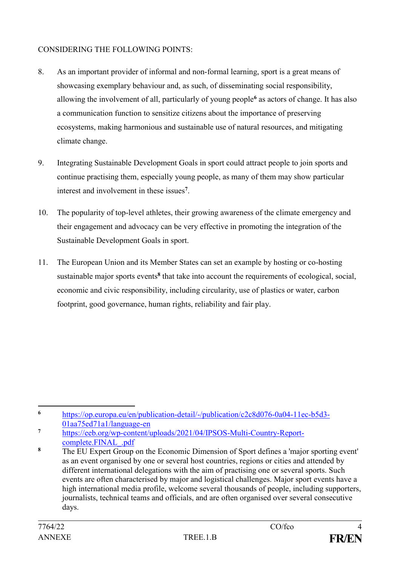#### CONSIDERING THE FOLLOWING POINTS:

- 8. As an important provider of informal and non-formal learning, sport is a great means of showcasing exemplary behaviour and, as such, of disseminating social responsibility, allowing the involvement of all, particularly of young people**<sup>6</sup>** as actors of change. It has also a communication function to sensitize citizens about the importance of preserving ecosystems, making harmonious and sustainable use of natural resources, and mitigating climate change.
- 9. Integrating Sustainable Development Goals in sport could attract people to join sports and continue practising them, especially young people, as many of them may show particular interest and involvement in these issues**<sup>7</sup>** .
- 10. The popularity of top-level athletes, their growing awareness of the climate emergency and their engagement and advocacy can be very effective in promoting the integration of the Sustainable Development Goals in sport.
- 11. The European Union and its Member States can set an example by hosting or co-hosting sustainable major sports events<sup>8</sup> that take into account the requirements of ecological, social, economic and civic responsibility, including circularity, use of plastics or water, carbon footprint, good governance, human rights, reliability and fair play.

<sup>1</sup> **<sup>6</sup>** [https://op.europa.eu/en/publication-detail/-/publication/c2c8d076-0a04-11ec-b5d3-](https://op.europa.eu/en/publication-detail/-/publication/c2c8d076-0a04-11ec-b5d3-01aa75ed71a1/language-en) [01aa75ed71a1/language-en](https://op.europa.eu/en/publication-detail/-/publication/c2c8d076-0a04-11ec-b5d3-01aa75ed71a1/language-en)

**<sup>7</sup>** [https://eeb.org/wp-content/uploads/2021/04/IPSOS-Multi-Country-Report](https://eeb.org/wp-content/uploads/2021/04/IPSOS-Multi-Country-Report-complete.FINAL_.pdf)[complete.FINAL\\_.pdf](https://eeb.org/wp-content/uploads/2021/04/IPSOS-Multi-Country-Report-complete.FINAL_.pdf)

**<sup>8</sup>** The EU Expert Group on the Economic Dimension of Sport defines a 'major sporting event' as an event organised by one or several host countries, regions or cities and attended by different international delegations with the aim of practising one or several sports. Such events are often characterised by major and logistical challenges. Major sport events have a high international media profile, welcome several thousands of people, including supporters, journalists, technical teams and officials, and are often organised over several consecutive days.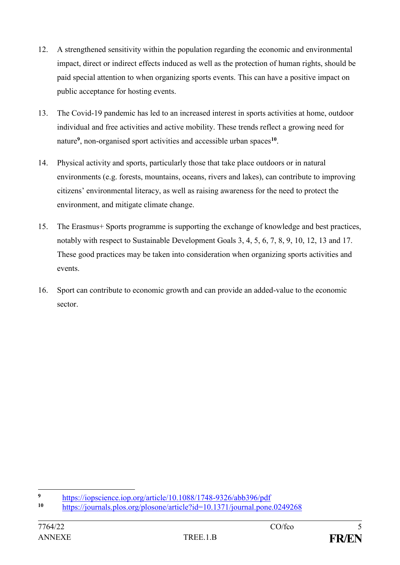- 12. A strengthened sensitivity within the population regarding the economic and environmental impact, direct or indirect effects induced as well as the protection of human rights, should be paid special attention to when organizing sports events. This can have a positive impact on public acceptance for hosting events.
- 13. The Covid-19 pandemic has led to an increased interest in sports activities at home, outdoor individual and free activities and active mobility. These trends reflect a growing need for nature**<sup>9</sup>** , non-organised sport activities and accessible urban spaces**<sup>10</sup>** .
- 14. Physical activity and sports, particularly those that take place outdoors or in natural environments (e.g. forests, mountains, oceans, rivers and lakes), can contribute to improving citizens' environmental literacy, as well as raising awareness for the need to protect the environment, and mitigate climate change.
- 15. The Erasmus+ Sports programme is supporting the exchange of knowledge and best practices, notably with respect to Sustainable Development Goals 3, 4, 5, 6, 7, 8, 9, 10, 12, 13 and 17. These good practices may be taken into consideration when organizing sports activities and events.
- 16. Sport can contribute to economic growth and can provide an added-value to the economic sector.

 $\overline{9}$ <sup>9</sup> <https://iopscience.iop.org/article/10.1088/1748-9326/abb396/pdf><br>10 https://iopscience.iop.org/article/10.1088/1748-9326/abb396/pdf

**<sup>10</sup>** <https://journals.plos.org/plosone/article?id=10.1371/journal.pone.0249268>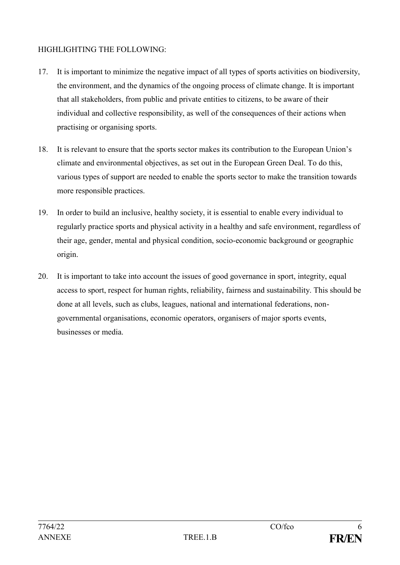## HIGHLIGHTING THE FOLLOWING:

- 17. It is important to minimize the negative impact of all types of sports activities on biodiversity, the environment, and the dynamics of the ongoing process of climate change. It is important that all stakeholders, from public and private entities to citizens, to be aware of their individual and collective responsibility, as well of the consequences of their actions when practising or organising sports.
- 18. It is relevant to ensure that the sports sector makes its contribution to the European Union's climate and environmental objectives, as set out in the European Green Deal. To do this, various types of support are needed to enable the sports sector to make the transition towards more responsible practices.
- 19. In order to build an inclusive, healthy society, it is essential to enable every individual to regularly practice sports and physical activity in a healthy and safe environment, regardless of their age, gender, mental and physical condition, socio-economic background or geographic origin.
- 20. It is important to take into account the issues of good governance in sport, integrity, equal access to sport, respect for human rights, reliability, fairness and sustainability. This should be done at all levels, such as clubs, leagues, national and international federations, nongovernmental organisations, economic operators, organisers of major sports events, businesses or media.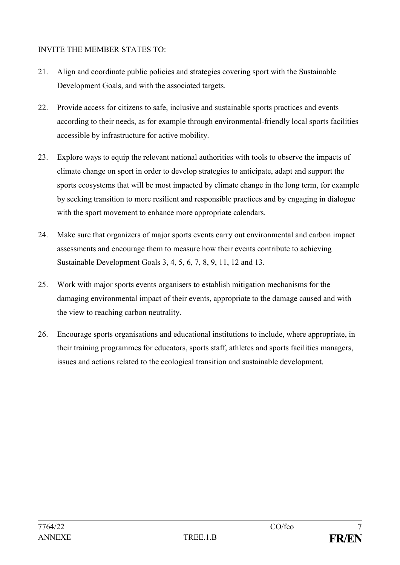## INVITE THE MEMBER STATES TO:

- 21. Align and coordinate public policies and strategies covering sport with the Sustainable Development Goals, and with the associated targets.
- 22. Provide access for citizens to safe, inclusive and sustainable sports practices and events according to their needs, as for example through environmental-friendly local sports facilities accessible by infrastructure for active mobility.
- 23. Explore ways to equip the relevant national authorities with tools to observe the impacts of climate change on sport in order to develop strategies to anticipate, adapt and support the sports ecosystems that will be most impacted by climate change in the long term, for example by seeking transition to more resilient and responsible practices and by engaging in dialogue with the sport movement to enhance more appropriate calendars.
- 24. Make sure that organizers of major sports events carry out environmental and carbon impact assessments and encourage them to measure how their events contribute to achieving Sustainable Development Goals 3, 4, 5, 6, 7, 8, 9, 11, 12 and 13.
- 25. Work with major sports events organisers to establish mitigation mechanisms for the damaging environmental impact of their events, appropriate to the damage caused and with the view to reaching carbon neutrality.
- 26. Encourage sports organisations and educational institutions to include, where appropriate, in their training programmes for educators, sports staff, athletes and sports facilities managers, issues and actions related to the ecological transition and sustainable development.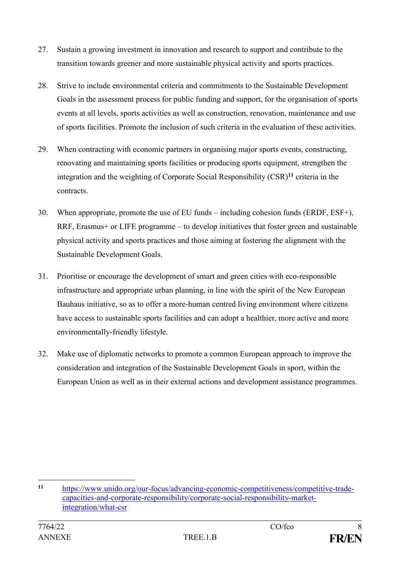- 27. Sustain a growing investment in innovation and research to support and contribute to the transition towards greener and more sustainable physical activity and sports practices.
- 28. Strive to include environmental criteria and commitments to the Sustainable Development Goals in the assessment process for public funding and support, for the organisation of sports events at all levels, sports activities as well as construction, renovation, maintenance and use of sports facilities. Promote the inclusion of such criteria in the evaluation of these activities.
- 29. When contracting with economic partners in organising major sports events, constructing, renovating and maintaining sports facilities or producing sports equipment, strengthen the integration and the weighting of Corporate Social Responsibility (CSR)**<sup>11</sup>** criteria in the contracts.
- 30. When appropriate, promote the use of EU funds including cohesion funds (ERDF, ESF+), RRF, Erasmus+ or LIFE programme – to develop initiatives that foster green and sustainable physical activity and sports practices and those aiming at fostering the alignment with the Sustainable Development Goals.
- 31. Prioritise or encourage the development of smart and green cities with eco-responsible infrastructure and appropriate urban planning, in line with the spirit of the New European Bauhaus initiative, so as to offer a more-human centred living environment where citizens have access to sustainable sports facilities and can adopt a healthier, more active and more environmentally-friendly lifestyle.
- 32. Make use of diplomatic networks to promote a common European approach to improve the consideration and integration of the Sustainable Development Goals in sport, within the European Union as well as in their external actions and development assistance programmes.

<sup>1</sup> **<sup>11</sup>** [https://www.unido.org/our-focus/advancing-economic-competitiveness/competitive-trade](https://www.unido.org/our-focus/advancing-economic-competitiveness/competitive-trade-capacities-and-corporate-responsibility/corporate-social-responsibility-market-integration/what-csr)[capacities-and-corporate-responsibility/corporate-social-responsibility-market](https://www.unido.org/our-focus/advancing-economic-competitiveness/competitive-trade-capacities-and-corporate-responsibility/corporate-social-responsibility-market-integration/what-csr)[integration/what-csr](https://www.unido.org/our-focus/advancing-economic-competitiveness/competitive-trade-capacities-and-corporate-responsibility/corporate-social-responsibility-market-integration/what-csr)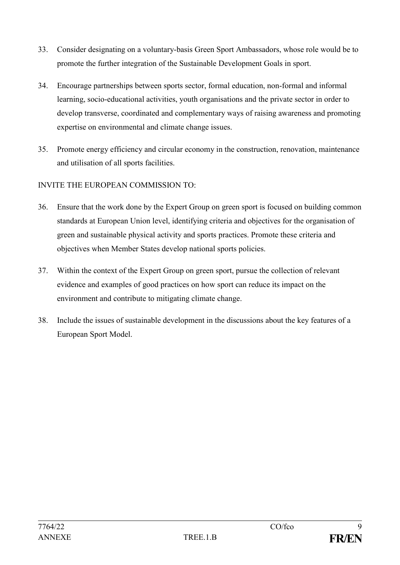- 33. Consider designating on a voluntary-basis Green Sport Ambassadors, whose role would be to promote the further integration of the Sustainable Development Goals in sport.
- 34. Encourage partnerships between sports sector, formal education, non-formal and informal learning, socio-educational activities, youth organisations and the private sector in order to develop transverse, coordinated and complementary ways of raising awareness and promoting expertise on environmental and climate change issues.
- 35. Promote energy efficiency and circular economy in the construction, renovation, maintenance and utilisation of all sports facilities.

## INVITE THE EUROPEAN COMMISSION TO:

- 36. Ensure that the work done by the Expert Group on green sport is focused on building common standards at European Union level, identifying criteria and objectives for the organisation of green and sustainable physical activity and sports practices. Promote these criteria and objectives when Member States develop national sports policies.
- 37. Within the context of the Expert Group on green sport, pursue the collection of relevant evidence and examples of good practices on how sport can reduce its impact on the environment and contribute to mitigating climate change.
- 38. Include the issues of sustainable development in the discussions about the key features of a European Sport Model.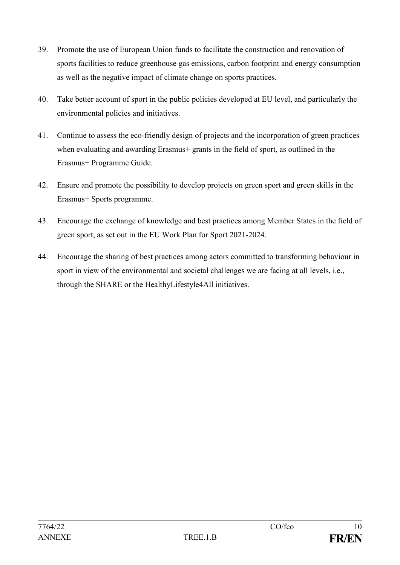- 39. Promote the use of European Union funds to facilitate the construction and renovation of sports facilities to reduce greenhouse gas emissions, carbon footprint and energy consumption as well as the negative impact of climate change on sports practices.
- 40. Take better account of sport in the public policies developed at EU level, and particularly the environmental policies and initiatives.
- 41. Continue to assess the eco-friendly design of projects and the incorporation of green practices when evaluating and awarding Erasmus+ grants in the field of sport, as outlined in the Erasmus+ Programme Guide.
- 42. Ensure and promote the possibility to develop projects on green sport and green skills in the Erasmus+ Sports programme.
- 43. Encourage the exchange of knowledge and best practices among Member States in the field of green sport, as set out in the EU Work Plan for Sport 2021-2024.
- 44. Encourage the sharing of best practices among actors committed to transforming behaviour in sport in view of the environmental and societal challenges we are facing at all levels, i.e., through the SHARE or the HealthyLifestyle4All initiatives.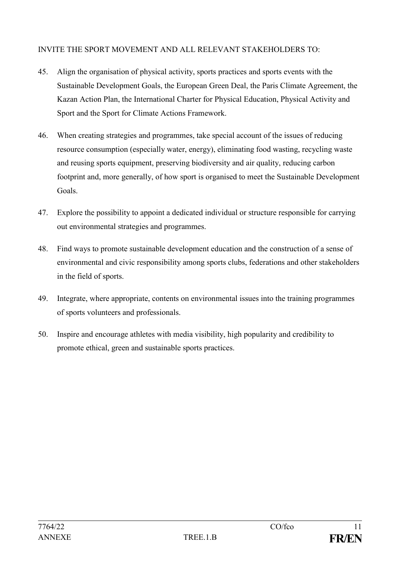#### INVITE THE SPORT MOVEMENT AND ALL RELEVANT STAKEHOLDERS TO:

- 45. Align the organisation of physical activity, sports practices and sports events with the Sustainable Development Goals, the European Green Deal, the Paris Climate Agreement, the Kazan Action Plan, the International Charter for Physical Education, Physical Activity and Sport and the Sport for Climate Actions Framework.
- 46. When creating strategies and programmes, take special account of the issues of reducing resource consumption (especially water, energy), eliminating food wasting, recycling waste and reusing sports equipment, preserving biodiversity and air quality, reducing carbon footprint and, more generally, of how sport is organised to meet the Sustainable Development Goals.
- 47. Explore the possibility to appoint a dedicated individual or structure responsible for carrying out environmental strategies and programmes.
- 48. Find ways to promote sustainable development education and the construction of a sense of environmental and civic responsibility among sports clubs, federations and other stakeholders in the field of sports.
- 49. Integrate, where appropriate, contents on environmental issues into the training programmes of sports volunteers and professionals.
- 50. Inspire and encourage athletes with media visibility, high popularity and credibility to promote ethical, green and sustainable sports practices.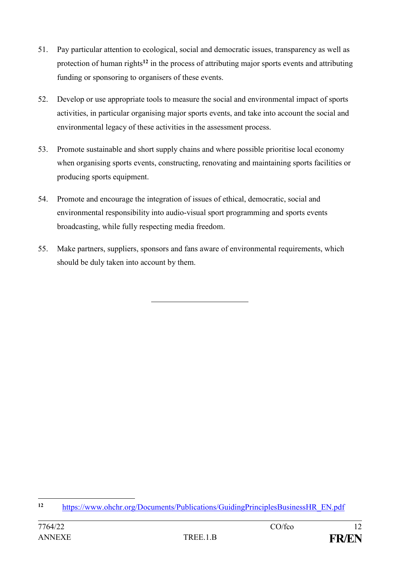- 51. Pay particular attention to ecological, social and democratic issues, transparency as well as protection of human rights**<sup>12</sup>** in the process of attributing major sports events and attributing funding or sponsoring to organisers of these events.
- 52. Develop or use appropriate tools to measure the social and environmental impact of sports activities, in particular organising major sports events, and take into account the social and environmental legacy of these activities in the assessment process.
- 53. Promote sustainable and short supply chains and where possible prioritise local economy when organising sports events, constructing, renovating and maintaining sports facilities or producing sports equipment.
- 54. Promote and encourage the integration of issues of ethical, democratic, social and environmental responsibility into audio-visual sport programming and sports events broadcasting, while fully respecting media freedom.
- 55. Make partners, suppliers, sponsors and fans aware of environmental requirements, which should be duly taken into account by them.

 $12$ **<sup>12</sup>** [https://www.ohchr.org/Documents/Publications/GuidingPrinciplesBusinessHR\\_EN.pdf](https://www.ohchr.org/Documents/Publications/GuidingPrinciplesBusinessHR_EN.pdf)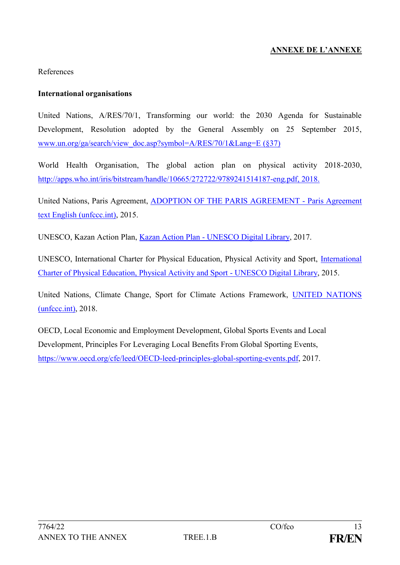## **ANNEXE DE L'ANNEXE**

#### References

#### **International organisations**

United Nations, A/RES/70/1, Transforming our world: the 2030 Agenda for Sustainable Development, Resolution adopted by the General Assembly on 25 September 2015, [www.un.org/ga/search/view\\_doc.asp?symbol=A/RES/70/1&Lang=E](http://www.un.org/ga/search/view_doc.asp?symbol=A/RES/70/1&Lang=E) (§37)

World Health Organisation, The global action plan on physical activity 2018-2030, [http://apps.who.int/iris/bitstream/handle/10665/272722/9789241514187-eng.pdf,](http://apps.who.int/iris/bitstream/handle/10665/272722/9789241514187-eng.pdf) 2018.

United Nations, Paris Agreement, [ADOPTION OF THE PARIS AGREEMENT -](https://unfccc.int/files/essential_background/convention/application/pdf/english_paris_agreement.pdf) Paris Agreement [text English \(unfccc.int\),](https://unfccc.int/files/essential_background/convention/application/pdf/english_paris_agreement.pdf) 2015.

UNESCO, Kazan Action Plan, Kazan Action Plan - [UNESCO Digital Library,](https://unesdoc.unesco.org/ark:/48223/pf0000252725) 2017.

UNESCO, International Charter for Physical Education, Physical Activity and Sport, [International](https://unesdoc.unesco.org/ark:/48223/pf0000235409)  [Charter of Physical Education, Physical Activity and Sport -](https://unesdoc.unesco.org/ark:/48223/pf0000235409) UNESCO Digital Library, 2015.

United Nations, Climate Change, Sport for Climate Actions Framework, [UNITED NATIONS](https://unfccc.int/sites/default/files/resource/Sports_for_Climate_Action_Declaration_and_Framework_0.pdf)  [\(unfccc.int\),](https://unfccc.int/sites/default/files/resource/Sports_for_Climate_Action_Declaration_and_Framework_0.pdf) 2018.

OECD, Local Economic and Employment Development, Global Sports Events and Local Development, Principles For Leveraging Local Benefits From Global Sporting Events, [https://www.oecd.org/cfe/leed/OECD-leed-principles-global-sporting-events.pdf,](https://www.oecd.org/cfe/leed/OECD-leed-principles-global-sporting-events.pdf) 2017.